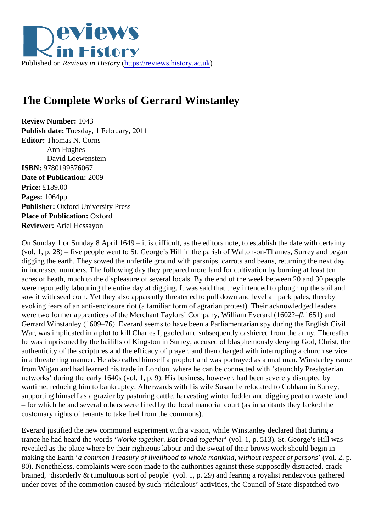

## **The Complete Works of Gerrard Winstanley**

**Review Number:** 1043 **Publish date:** Tuesday, 1 February, 2011 **Editor:** Thomas N. Corns Ann Hughes David Loewenstein **ISBN:** 9780199576067 **Date of Publication:** 2009 **Price:** £189.00 **Pages:** 1064pp. **Publisher:** Oxford University Press **Place of Publication:** Oxford **Reviewer:** Ariel Hessayon

On Sunday 1 or Sunday 8 April 1649 – it is difficult, as the editors note, to establish the date with certainty (vol. 1, p. 28) – five people went to St. George's Hill in the parish of Walton-on-Thames, Surrey and began digging the earth. They sowed the unfertile ground with parsnips, carrots and beans, returning the next day in increased numbers. The following day they prepared more land for cultivation by burning at least ten acres of heath, much to the displeasure of several locals. By the end of the week between 20 and 30 people were reportedly labouring the entire day at digging. It was said that they intended to plough up the soil and sow it with seed corn. Yet they also apparently threatened to pull down and level all park pales, thereby evoking fears of an anti-enclosure riot (a familiar form of agrarian protest). Their acknowledged leaders were two former apprentices of the Merchant Taylors' Company, William Everard (1602?–*fl*.1651) and Gerrard Winstanley (1609–76). Everard seems to have been a Parliamentarian spy during the English Civil War, was implicated in a plot to kill Charles I, gaoled and subsequently cashiered from the army. Thereafter he was imprisoned by the bailiffs of Kingston in Surrey, accused of blasphemously denying God, Christ, the authenticity of the scriptures and the efficacy of prayer, and then charged with interrupting a church service in a threatening manner. He also called himself a prophet and was portrayed as a mad man. Winstanley came from Wigan and had learned his trade in London, where he can be connected with 'staunchly Presbyterian networks' during the early 1640s (vol. 1, p. 9). His business, however, had been severely disrupted by wartime, reducing him to bankruptcy. Afterwards with his wife Susan he relocated to Cobham in Surrey, supporting himself as a grazier by pasturing cattle, harvesting winter fodder and digging peat on waste land – for which he and several others were fined by the local manorial court (as inhabitants they lacked the customary rights of tenants to take fuel from the commons).

Everard justified the new communal experiment with a vision, while Winstanley declared that during a trance he had heard the words '*Worke together. Eat bread together*' (vol. 1, p. 513). St. George's Hill was revealed as the place where by their righteous labour and the sweat of their brows work should begin in making the Earth '*a common Treasury of livelihood to whole mankind, without respect of persons*' (vol. 2, p. 80). Nonetheless, complaints were soon made to the authorities against these supposedly distracted, crack brained, 'disorderly & tumultuous sort of people' (vol. 1, p. 29) and fearing a royalist rendezvous gathered under cover of the commotion caused by such 'ridiculous' activities, the Council of State dispatched two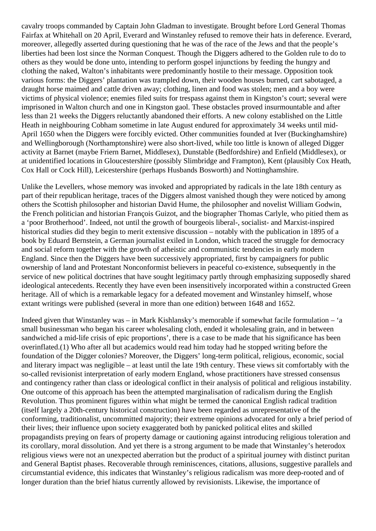cavalry troops commanded by Captain John Gladman to investigate. Brought before Lord General Thomas Fairfax at Whitehall on 20 April, Everard and Winstanley refused to remove their hats in deference. Everard, moreover, allegedly asserted during questioning that he was of the race of the Jews and that the people's liberties had been lost since the Norman Conquest. Though the Diggers adhered to the Golden rule to do to others as they would be done unto, intending to perform gospel injunctions by feeding the hungry and clothing the naked, Walton's inhabitants were predominantly hostile to their message. Opposition took various forms: the Diggers' plantation was trampled down, their wooden houses burned, cart sabotaged, a draught horse maimed and cattle driven away; clothing, linen and food was stolen; men and a boy were victims of physical violence; enemies filed suits for trespass against them in Kingston's court; several were imprisoned in Walton church and one in Kingston gaol. These obstacles proved insurmountable and after less than 21 weeks the Diggers reluctantly abandoned their efforts. A new colony established on the Little Heath in neighbouring Cobham sometime in late August endured for approximately 34 weeks until mid-April 1650 when the Diggers were forcibly evicted. Other communities founded at Iver (Buckinghamshire) and Wellingborough (Northamptonshire) were also short-lived, while too little is known of alleged Digger activity at Barnet (maybe Friern Barnet, Middlesex), Dunstable (Bedfordshire) and Enfield (Middlesex), or at unidentified locations in Gloucestershire (possibly Slimbridge and Frampton), Kent (plausibly Cox Heath, Cox Hall or Cock Hill), Leicestershire (perhaps Husbands Bosworth) and Nottinghamshire.

Unlike the Levellers, whose memory was invoked and appropriated by radicals in the late 18th century as part of their republican heritage, traces of the Diggers almost vanished though they were noticed by among others the Scottish philosopher and historian David Hume, the philosopher and novelist William Godwin, the French politician and historian François Guizot, and the biographer Thomas Carlyle, who pitied them as a 'poor Brotherhood'. Indeed, not until the growth of bourgeois liberal-, socialist- and Marxist-inspired historical studies did they begin to merit extensive discussion – notably with the publication in 1895 of a book by Eduard Bernstein, a German journalist exiled in London, which traced the struggle for democracy and social reform together with the growth of atheistic and communistic tendencies in early modern England. Since then the Diggers have been successively appropriated, first by campaigners for public ownership of land and Protestant Nonconformist believers in peaceful co-existence, subsequently in the service of new political doctrines that have sought legitimacy partly through emphasizing supposedly shared ideological antecedents. Recently they have even been insensitively incorporated within a constructed Green heritage. All of which is a remarkable legacy for a defeated movement and Winstanley himself, whose extant writings were published (several in more than one edition) between 1648 and 1652.

Indeed given that Winstanley was – in Mark Kishlansky's memorable if somewhat facile formulation – 'a small businessman who began his career wholesaling cloth, ended it wholesaling grain, and in between sandwiched a mid-life crisis of epic proportions', there is a case to be made that his significance has been overinflated.(1) Who after all but academics would read him today had he stopped writing before the foundation of the Digger colonies? Moreover, the Diggers' long-term political, religious, economic, social and literary impact was negligible – at least until the late 19th century. These views sit comfortably with the so-called revisionist interpretation of early modern England, whose practitioners have stressed consensus and contingency rather than class or ideological conflict in their analysis of political and religious instability. One outcome of this approach has been the attempted marginalisation of radicalism during the English Revolution. Thus prominent figures within what might be termed the canonical English radical tradition (itself largely a 20th-century historical construction) have been regarded as unrepresentative of the conforming, traditionalist, uncommitted majority; their extreme opinions advocated for only a brief period of their lives; their influence upon society exaggerated both by panicked political elites and skilled propagandists preying on fears of property damage or cautioning against introducing religious toleration and its corollary, moral dissolution. And yet there is a strong argument to be made that Winstanley's heterodox religious views were not an unexpected aberration but the product of a spiritual journey with distinct puritan and General Baptist phases. Recoverable through reminiscences, citations, allusions, suggestive parallels and circumstantial evidence, this indicates that Winstanley's religious radicalism was more deep-rooted and of longer duration than the brief hiatus currently allowed by revisionists. Likewise, the importance of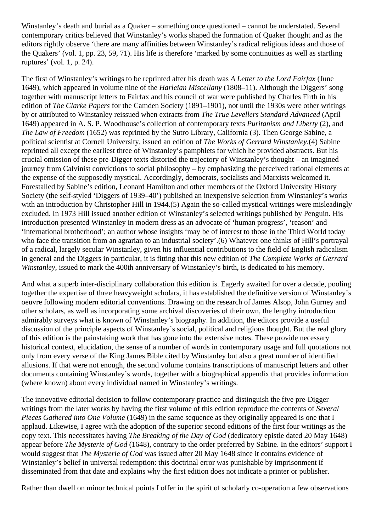Winstanley's death and burial as a Quaker – something once questioned – cannot be understated. Several contemporary critics believed that Winstanley's works shaped the formation of Quaker thought and as the editors rightly observe 'there are many affinities between Winstanley's radical religious ideas and those of the Quakers' (vol. 1, pp. 23, 59, 71). His life is therefore 'marked by some continuities as well as startling ruptures' (vol. 1, p. 24).

The first of Winstanley's writings to be reprinted after his death was *A Letter to the Lord Fairfax* (June 1649), which appeared in volume nine of the *Harleian Miscellany* (1808–11). Although the Diggers' song together with manuscript letters to Fairfax and his council of war were published by Charles Firth in his edition of *The Clarke Papers* for the Camden Society (1891–1901), not until the 1930s were other writings by or attributed to Winstanley reissued when extracts from *The True Levellers Standard Advanced* (April 1649) appeared in A. S. P. Woodhouse's collection of contemporary texts *Puritanism and Liberty* (2), and *The Law of Freedom* (1652) was reprinted by the Sutro Library, California (3). Then George Sabine, a political scientist at Cornell University, issued an edition of *The Works of Gerrard Winstanley*.(4) Sabine reprinted all except the earliest three of Winstanley's pamphlets for which he provided abstracts. But his crucial omission of these pre-Digger texts distorted the trajectory of Winstanley's thought – an imagined journey from Calvinist convictions to social philosophy – by emphasizing the perceived rational elements at the expense of the supposedly mystical. Accordingly, democrats, socialists and Marxists welcomed it. Forestalled by Sabine's edition, Leonard Hamilton and other members of the Oxford University History Society (the self-styled 'Diggers of 1939–40') published an inexpensive selection from Winstanley's works with an introduction by Christopher Hill in 1944.(5) Again the so-called mystical writings were misleadingly excluded. In 1973 Hill issued another edition of Winstanley's selected writings published by Penguin. His introduction presented Winstanley in modern dress as an advocate of 'human progress', 'reason' and 'international brotherhood'; an author whose insights 'may be of interest to those in the Third World today who face the transition from an agrarian to an industrial society'.(6) Whatever one thinks of Hill's portrayal of a radical, largely secular Winstanley, given his influential contributions to the field of English radicalism in general and the Diggers in particular, it is fitting that this new edition of *The Complete Works of Gerrard Winstanley*, issued to mark the 400th anniversary of Winstanley's birth, is dedicated to his memory.

And what a superb inter-disciplinary collaboration this edition is. Eagerly awaited for over a decade, pooling together the expertise of three heavyweight scholars, it has established the definitive version of Winstanley's oeuvre following modern editorial conventions. Drawing on the research of James Alsop, John Gurney and other scholars, as well as incorporating some archival discoveries of their own, the lengthy introduction admirably surveys what is known of Winstanley's biography. In addition, the editors provide a useful discussion of the principle aspects of Winstanley's social, political and religious thought. But the real glory of this edition is the painstaking work that has gone into the extensive notes. These provide necessary historical context, elucidation, the sense of a number of words in contemporary usage and full quotations not only from every verse of the King James Bible cited by Winstanley but also a great number of identified allusions. If that were not enough, the second volume contains transcriptions of manuscript letters and other documents containing Winstanley's words, together with a biographical appendix that provides information (where known) about every individual named in Winstanley's writings.

The innovative editorial decision to follow contemporary practice and distinguish the five pre-Digger writings from the later works by having the first volume of this edition reproduce the contents of *Several Pieces Gathered into One Volume* (1649) in the same sequence as they originally appeared is one that I applaud. Likewise, I agree with the adoption of the superior second editions of the first four writings as the copy text. This necessitates having *The Breaking of the Day of God* (dedicatory epistle dated 20 May 1648) appear before *The Mysterie of God* (1648), contrary to the order preferred by Sabine. In the editors' support I would suggest that *The Mysterie of God* was issued after 20 May 1648 since it contains evidence of Winstanley's belief in universal redemption: this doctrinal error was punishable by imprisonment if disseminated from that date and explains why the first edition does not indicate a printer or publisher.

Rather than dwell on minor technical points I offer in the spirit of scholarly co-operation a few observations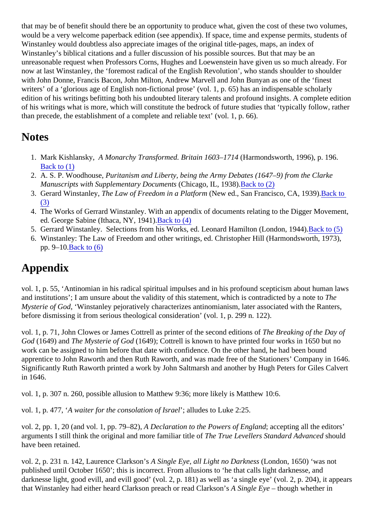that may be of benefit should there be an opportunity to produce what, given the cost of these two volumes, would be a very welcome paperback edition (see appendix). If space, time and expense permits, students of Winstanley would doubtless also appreciate images of the original title-pages, maps, an index of Winstanley's biblical citations and a fuller discussion of his possible sources. But that may be an unreasonable request when Professors Corns, Hughes and Loewenstein have given us so much already. For now at last Winstanley, the 'foremost radical of the English Revolution', who stands shoulder to shoulder with John Donne, Francis Bacon, John Milton, Andrew Marvell and John Bunyan as one of the 'finest writers' of a 'glorious age of English non-fictional prose' (vol. 1, p. 65) has an indispensable scholarly edition of his writings befitting both his undoubted literary talents and profound insights. A complete edition of his writings what is more, which will constitute the bedrock of future studies that 'typically follow, rather than precede, the establishment of a complete and reliable text' (vol. 1, p. 66).

### **Notes**

- 1. Mark Kishlansky, *A Monarchy Transformed. Britain 1603–1714* (Harmondsworth, 1996), p. 196. Back to (1)
- 2. A. S. P. Woodhouse, *Puritanism and Liberty, being the Army Debates (1647–9) from the Clarke Manuscripts with Supplementary Documents* (Chicago, IL, 1938).Back to (2)
- 3. Gerard Winstanley, *The Law of Freedom in a Platform* (New ed., San Francisco, CA, 1939).Back to (3)
- 4. The Works of Gerrard Winstanley. With an appendix of documents relating to the Digger Movement, ed. George Sabine (Ithaca, NY, 1941).Back to (4)
- 5. Gerrard Winstanley. Selections from his Works, ed. Leonard Hamilton (London, 1944).Back to (5)
- 6. Winstanley: The Law of Freedom and other writings, ed. Christopher Hill (Harmondsworth, 1973), pp. 9–10.Back to (6)

# **Appendix**

vol. 1, p. 55, 'Antinomian in his radical spiritual impulses and in his profound scepticism about human laws and institutions'; I am unsure about the validity of this statement, which is contradicted by a note to *The Mysterie of God*, 'Winstanley pejoratively characterizes antinomianism, later associated with the Ranters, before dismissing it from serious theological consideration' (vol. 1, p. 299 n. 122).

vol. 1, p. 71, John Clowes or James Cottrell as printer of the second editions of *The Breaking of the Day of God* (1649) and *The Mysterie of God* (1649); Cottrell is known to have printed four works in 1650 but no work can be assigned to him before that date with confidence. On the other hand, he had been bound apprentice to John Raworth and then Ruth Raworth, and was made free of the Stationers' Company in 1646. Significantly Ruth Raworth printed a work by John Saltmarsh and another by Hugh Peters for Giles Calvert in 1646.

vol. 1, p. 307 n. 260, possible allusion to Matthew 9:36; more likely is Matthew 10:6.

vol. 1, p. 477, '*A waiter for the consolation of Israel*'; alludes to Luke 2:25.

vol. 2, pp. 1, 20 (and vol. 1, pp. 79–82), *A Declaration to the Powers of England*; accepting all the editors' arguments I still think the original and more familiar title of *The True Levellers Standard Advanced* should have been retained.

vol. 2, p. 231 n. 142, Laurence Clarkson's *A Single Eye, all Light no Darkness* (London, 1650) 'was not published until October 1650'; this is incorrect. From allusions to 'he that calls light darknesse, and darknesse light, good evill, and evill good' (vol. 2, p. 181) as well as 'a single eye' (vol. 2, p. 204), it appears that Winstanley had either heard Clarkson preach or read Clarkson's *A Single Eye* – though whether in